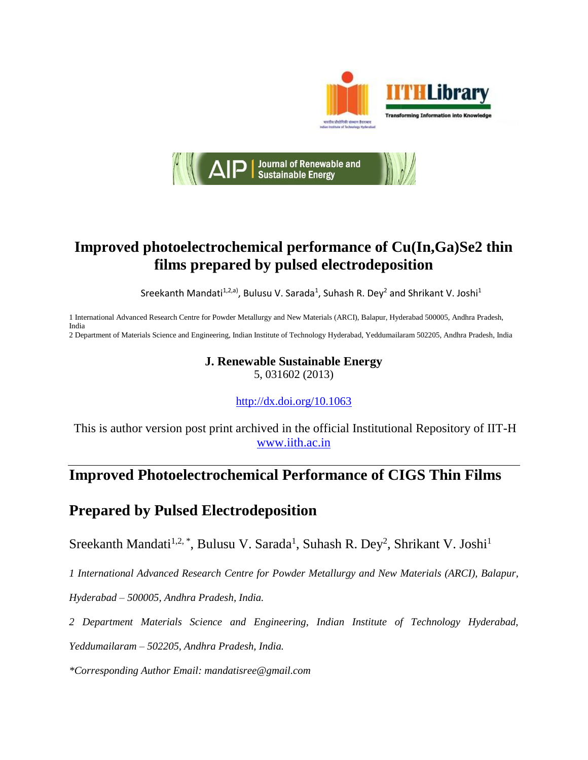



## **Improved photoelectrochemical performance of Cu(In,Ga)Se2 thin films prepared by pulsed electrodeposition**

Sreekanth Mandati<sup>1,2,a)</sup>, Bulusu V. Sarada<sup>1</sup>, Suhash R. Dey<sup>2</sup> and Shrikant V. Joshi<sup>1</sup>

1 International Advanced Research Centre for Powder Metallurgy and New Materials (ARCI), Balapur, Hyderabad 500005, Andhra Pradesh, India

2 Department of Materials Science and Engineering, Indian Institute of Technology Hyderabad, Yeddumailaram 502205, Andhra Pradesh, India

# **J. Renewable Sustainable Energy**

5, 031602 (2013)

<http://dx.doi.org/10.1063>

This is author version post print archived in the official Institutional Repository of IIT-H [www.iith.ac.in](http://www.iith.ac.in/)

## **Improved Photoelectrochemical Performance of CIGS Thin Films**

## **Prepared by Pulsed Electrodeposition**

Sreekanth Mandati<sup>1,2,\*</sup>, Bulusu V. Sarada<sup>1</sup>, Suhash R. Dey<sup>2</sup>, Shrikant V. Joshi<sup>1</sup>

*1 International Advanced Research Centre for Powder Metallurgy and New Materials (ARCI), Balapur,* 

*Hyderabad – 500005, Andhra Pradesh, India.*

*2 Department Materials Science and Engineering, Indian Institute of Technology Hyderabad,*

*Yeddumailaram – 502205, Andhra Pradesh, India.*

*\*Corresponding Author Email: mandatisree@gmail.com*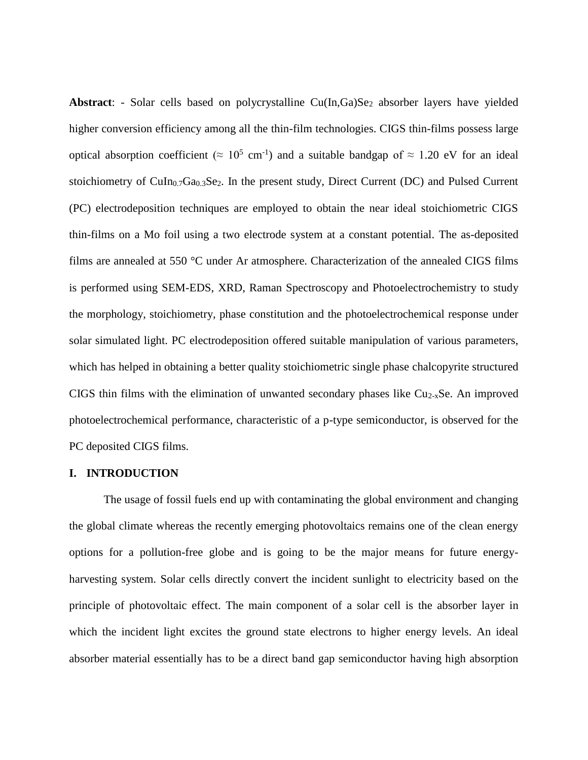Abstract: - Solar cells based on polycrystalline Cu(In,Ga)Se<sub>2</sub> absorber layers have yielded higher conversion efficiency among all the thin-film technologies. CIGS thin-films possess large optical absorption coefficient ( $\approx 10^5$  cm<sup>-1</sup>) and a suitable bandgap of  $\approx 1.20$  eV for an ideal stoichiometry of  $CuIn<sub>0.7</sub>Ga<sub>0.3</sub>Se<sub>2</sub>$ . In the present study, Direct Current (DC) and Pulsed Current (PC) electrodeposition techniques are employed to obtain the near ideal stoichiometric CIGS thin-films on a Mo foil using a two electrode system at a constant potential. The as-deposited films are annealed at 550 °C under Ar atmosphere. Characterization of the annealed CIGS films is performed using SEM-EDS, XRD, Raman Spectroscopy and Photoelectrochemistry to study the morphology, stoichiometry, phase constitution and the photoelectrochemical response under solar simulated light. PC electrodeposition offered suitable manipulation of various parameters, which has helped in obtaining a better quality stoichiometric single phase chalcopyrite structured CIGS thin films with the elimination of unwanted secondary phases like Cu2-xSe. An improved photoelectrochemical performance, characteristic of a p-type semiconductor, is observed for the PC deposited CIGS films.

#### **I. INTRODUCTION**

The usage of fossil fuels end up with contaminating the global environment and changing the global climate whereas the recently emerging photovoltaics remains one of the clean energy options for a pollution-free globe and is going to be the major means for future energyharvesting system. Solar cells directly convert the incident sunlight to electricity based on the principle of photovoltaic effect. The main component of a solar cell is the absorber layer in which the incident light excites the ground state electrons to higher energy levels. An ideal absorber material essentially has to be a direct band gap semiconductor having high absorption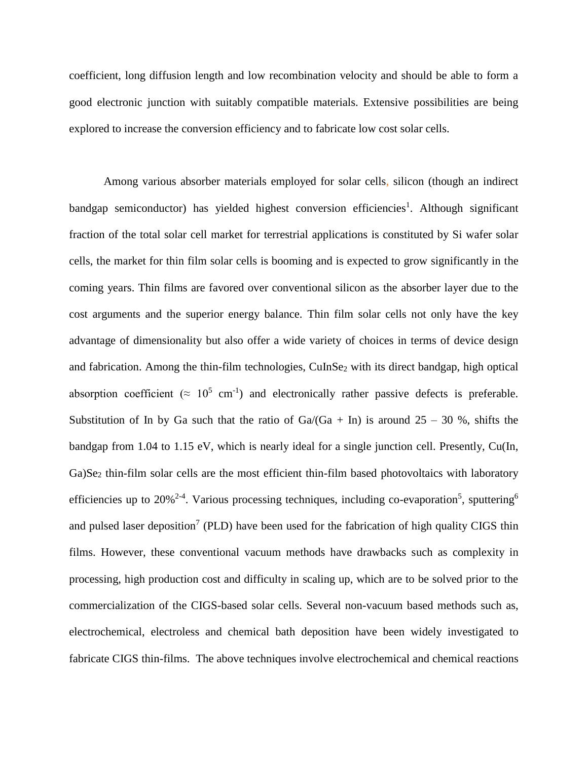coefficient, long diffusion length and low recombination velocity and should be able to form a good electronic junction with suitably compatible materials. Extensive possibilities are being explored to increase the conversion efficiency and to fabricate low cost solar cells.

Among various absorber materials employed for solar cells, silicon (though an indirect bandgap semiconductor) has yielded highest conversion efficiencies<sup>1</sup>. Although significant fraction of the total solar cell market for terrestrial applications is constituted by Si wafer solar cells, the market for thin film solar cells is booming and is expected to grow significantly in the coming years. Thin films are favored over conventional silicon as the absorber layer due to the cost arguments and the superior energy balance. Thin film solar cells not only have the key advantage of dimensionality but also offer a wide variety of choices in terms of device design and fabrication. Among the thin-film technologies, CuInSe<sub>2</sub> with its direct bandgap, high optical absorption coefficient ( $\approx 10^5$  cm<sup>-1</sup>) and electronically rather passive defects is preferable. Substitution of In by Ga such that the ratio of  $Ga/(Ga + In)$  is around  $25 - 30$  %, shifts the bandgap from 1.04 to 1.15 eV, which is nearly ideal for a single junction cell. Presently, Cu(In, Ga)Se<sub>2</sub> thin-film solar cells are the most efficient thin-film based photovoltaics with laboratory efficiencies up to 20%<sup>2-4</sup>. Various processing techniques, including co-evaporation<sup>5</sup>, sputtering<sup>6</sup> and pulsed laser deposition<sup>7</sup> (PLD) have been used for the fabrication of high quality CIGS thin films. However, these conventional vacuum methods have drawbacks such as complexity in processing, high production cost and difficulty in scaling up, which are to be solved prior to the commercialization of the CIGS-based solar cells. Several non-vacuum based methods such as, electrochemical, electroless and chemical bath deposition have been widely investigated to fabricate CIGS thin-films. The above techniques involve electrochemical and chemical reactions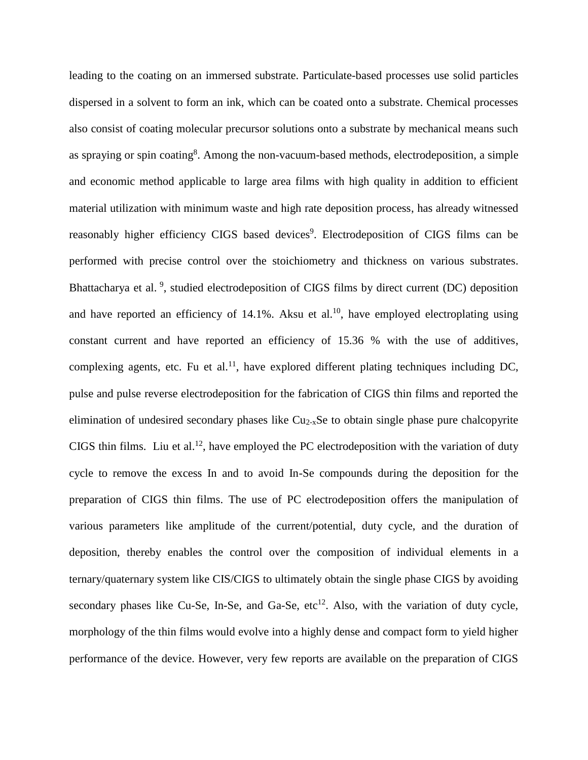leading to the coating on an immersed substrate. Particulate-based processes use solid particles dispersed in a solvent to form an ink, which can be coated onto a substrate. Chemical processes also consist of coating molecular precursor solutions onto a substrate by mechanical means such as spraying or spin coating<sup>8</sup>. Among the non-vacuum-based methods, electrodeposition, a simple and economic method applicable to large area films with high quality in addition to efficient material utilization with minimum waste and high rate deposition process, has already witnessed reasonably higher efficiency CIGS based devices<sup>9</sup>. Electrodeposition of CIGS films can be performed with precise control over the stoichiometry and thickness on various substrates. Bhattacharya et al.<sup>9</sup>, studied electrodeposition of CIGS films by direct current (DC) deposition and have reported an efficiency of  $14.1\%$ . Aksu et al.<sup>10</sup>, have employed electroplating using constant current and have reported an efficiency of 15.36 % with the use of additives, complexing agents, etc. Fu et al.<sup>11</sup>, have explored different plating techniques including DC, pulse and pulse reverse electrodeposition for the fabrication of CIGS thin films and reported the elimination of undesired secondary phases like  $Cu<sub>2-x</sub>Se$  to obtain single phase pure chalcopyrite CIGS thin films. Liu et al.<sup>12</sup>, have employed the PC electrodeposition with the variation of duty cycle to remove the excess In and to avoid In-Se compounds during the deposition for the preparation of CIGS thin films. The use of PC electrodeposition offers the manipulation of various parameters like amplitude of the current/potential, duty cycle, and the duration of deposition, thereby enables the control over the composition of individual elements in a ternary/quaternary system like CIS/CIGS to ultimately obtain the single phase CIGS by avoiding secondary phases like Cu-Se, In-Se, and Ga-Se,  $etc^{12}$ . Also, with the variation of duty cycle, morphology of the thin films would evolve into a highly dense and compact form to yield higher performance of the device. However, very few reports are available on the preparation of CIGS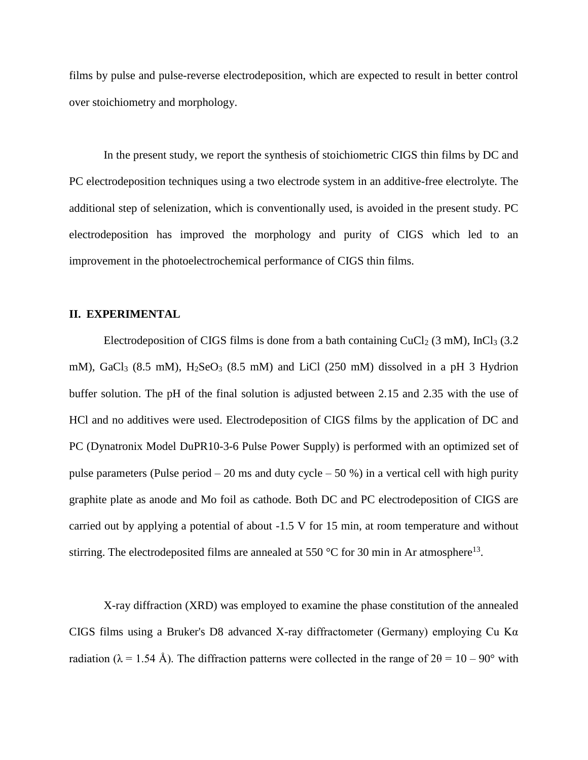films by pulse and pulse-reverse electrodeposition, which are expected to result in better control over stoichiometry and morphology.

In the present study, we report the synthesis of stoichiometric CIGS thin films by DC and PC electrodeposition techniques using a two electrode system in an additive-free electrolyte. The additional step of selenization, which is conventionally used, is avoided in the present study. PC electrodeposition has improved the morphology and purity of CIGS which led to an improvement in the photoelectrochemical performance of CIGS thin films.

#### **II. EXPERIMENTAL**

Electrodeposition of CIGS films is done from a bath containing  $CuCl<sub>2</sub>$  (3 mM), InCl<sub>3</sub> (3.2) mM), GaCl<sub>3</sub> (8.5 mM), H<sub>2</sub>SeO<sub>3</sub> (8.5 mM) and LiCl (250 mM) dissolved in a pH 3 Hydrion buffer solution. The pH of the final solution is adjusted between 2.15 and 2.35 with the use of HCl and no additives were used. Electrodeposition of CIGS films by the application of DC and PC (Dynatronix Model DuPR10-3-6 Pulse Power Supply) is performed with an optimized set of pulse parameters (Pulse period  $-20$  ms and duty cycle  $-50$  %) in a vertical cell with high purity graphite plate as anode and Mo foil as cathode. Both DC and PC electrodeposition of CIGS are carried out by applying a potential of about -1.5 V for 15 min, at room temperature and without stirring. The electrodeposited films are annealed at 550 °C for 30 min in Ar atmosphere<sup>13</sup>.

X-ray diffraction (XRD) was employed to examine the phase constitution of the annealed CIGS films using a Bruker's D8 advanced X-ray diffractometer (Germany) employing Cu K $\alpha$ radiation ( $\lambda = 1.54$  Å). The diffraction patterns were collected in the range of  $2\theta = 10 - 90^{\circ}$  with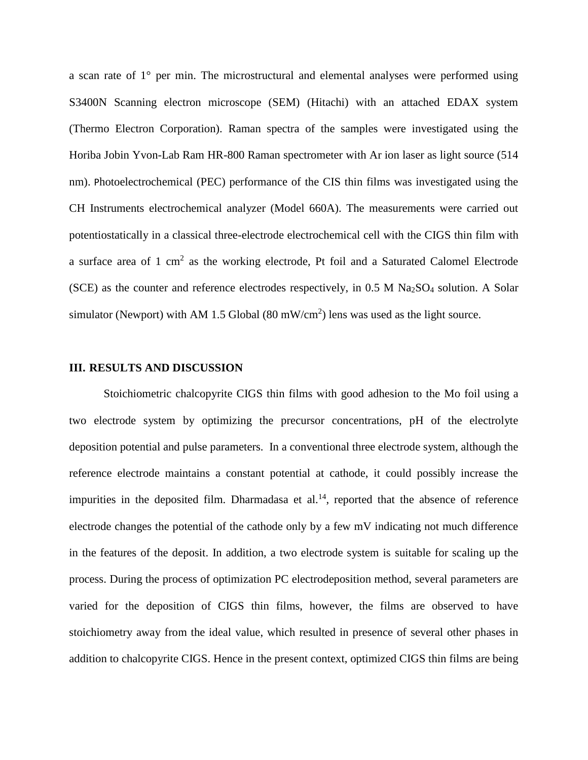a scan rate of 1° per min. The microstructural and elemental analyses were performed using S3400N Scanning electron microscope (SEM) (Hitachi) with an attached EDAX system (Thermo Electron Corporation). Raman spectra of the samples were investigated using the Horiba Jobin Yvon-Lab Ram HR-800 Raman spectrometer with Ar ion laser as light source (514 nm). Photoelectrochemical (PEC) performance of the CIS thin films was investigated using the CH Instruments electrochemical analyzer (Model 660A). The measurements were carried out potentiostatically in a classical three-electrode electrochemical cell with the CIGS thin film with a surface area of 1 cm<sup>2</sup> as the working electrode, Pt foil and a Saturated Calomel Electrode (SCE) as the counter and reference electrodes respectively, in  $0.5$  M Na<sub>2</sub>SO<sub>4</sub> solution. A Solar simulator (Newport) with AM 1.5 Global  $(80 \text{ mW/cm}^2)$  lens was used as the light source.

#### **III. RESULTS AND DISCUSSION**

Stoichiometric chalcopyrite CIGS thin films with good adhesion to the Mo foil using a two electrode system by optimizing the precursor concentrations, pH of the electrolyte deposition potential and pulse parameters. In a conventional three electrode system, although the reference electrode maintains a constant potential at cathode, it could possibly increase the impurities in the deposited film. Dharmadasa et al.<sup>14</sup>, reported that the absence of reference electrode changes the potential of the cathode only by a few mV indicating not much difference in the features of the deposit. In addition, a two electrode system is suitable for scaling up the process. During the process of optimization PC electrodeposition method, several parameters are varied for the deposition of CIGS thin films, however, the films are observed to have stoichiometry away from the ideal value, which resulted in presence of several other phases in addition to chalcopyrite CIGS. Hence in the present context, optimized CIGS thin films are being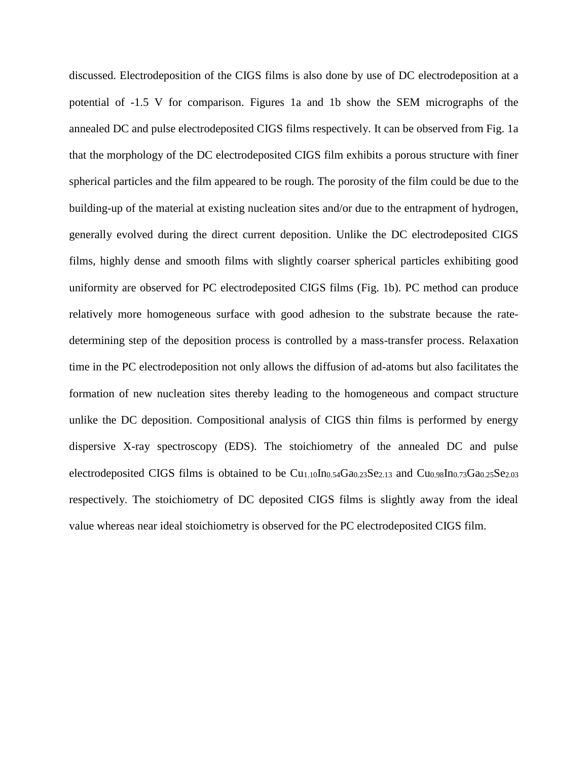discussed. Electrodeposition of the CIGS films is also done by use of DC electrodeposition at a potential of -1.5 V for comparison. Figures 1a and 1b show the SEM micrographs of the annealed DC and pulse electrodeposited CIGS films respectively. It can be observed from Fig. 1a that the morphology of the DC electrodeposited CIGS film exhibits a porous structure with finer spherical particles and the film appeared to be rough. The porosity of the film could be due to the building-up of the material at existing nucleation sites and/or due to the entrapment of hydrogen, generally evolved during the direct current deposition. Unlike the DC electrodeposited CIGS films, highly dense and smooth films with slightly coarser spherical particles exhibiting good uniformity are observed for PC electrodeposited CIGS films (Fig. 1b). PC method can produce relatively more homogeneous surface with good adhesion to the substrate because the ratedetermining step of the deposition process is controlled by a mass-transfer process. Relaxation time in the PC electrodeposition not only allows the diffusion of ad-atoms but also facilitates the formation of new nucleation sites thereby leading to the homogeneous and compact structure unlike the DC deposition. Compositional analysis of CIGS thin films is performed by energy dispersive X-ray spectroscopy (EDS). The stoichiometry of the annealed DC and pulse electrodeposited CIGS films is obtained to be  $Cu<sub>1.10</sub> In<sub>0.54</sub> Ga<sub>0.23</sub>Se<sub>2.13</sub>$  and  $Cu<sub>0.98</sub>In<sub>0.73</sub>Ga<sub>0.25</sub>Se<sub>2.03</sub>$ respectively. The stoichiometry of DC deposited CIGS films is slightly away from the ideal value whereas near ideal stoichiometry is observed for the PC electrodeposited CIGS film.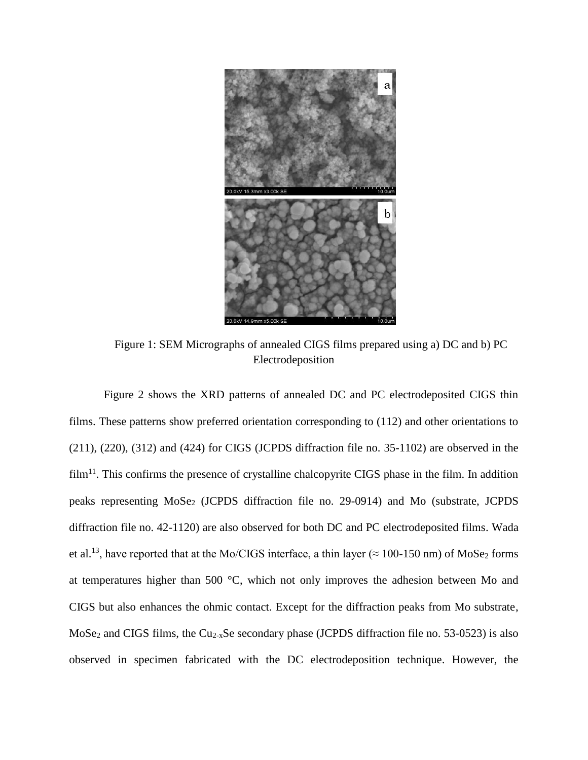

Figure 1: SEM Micrographs of annealed CIGS films prepared using a) DC and b) PC Electrodeposition

Figure 2 shows the XRD patterns of annealed DC and PC electrodeposited CIGS thin films. These patterns show preferred orientation corresponding to (112) and other orientations to (211), (220), (312) and (424) for CIGS (JCPDS diffraction file no. 35-1102) are observed in the film<sup>11</sup>. This confirms the presence of crystalline chalcopyrite CIGS phase in the film. In addition peaks representing MoSe<sub>2</sub> (JCPDS diffraction file no. 29-0914) and Mo (substrate, JCPDS diffraction file no. 42-1120) are also observed for both DC and PC electrodeposited films. Wada et al.<sup>13</sup>, have reported that at the Mo/CIGS interface, a thin layer ( $\approx$  100-150 nm) of MoSe<sub>2</sub> forms at temperatures higher than 500 °C, which not only improves the adhesion between Mo and CIGS but also enhances the ohmic contact. Except for the diffraction peaks from Mo substrate, MoSe<sub>2</sub> and CIGS films, the Cu<sub>2-x</sub>Se secondary phase (JCPDS diffraction file no. 53-0523) is also observed in specimen fabricated with the DC electrodeposition technique. However, the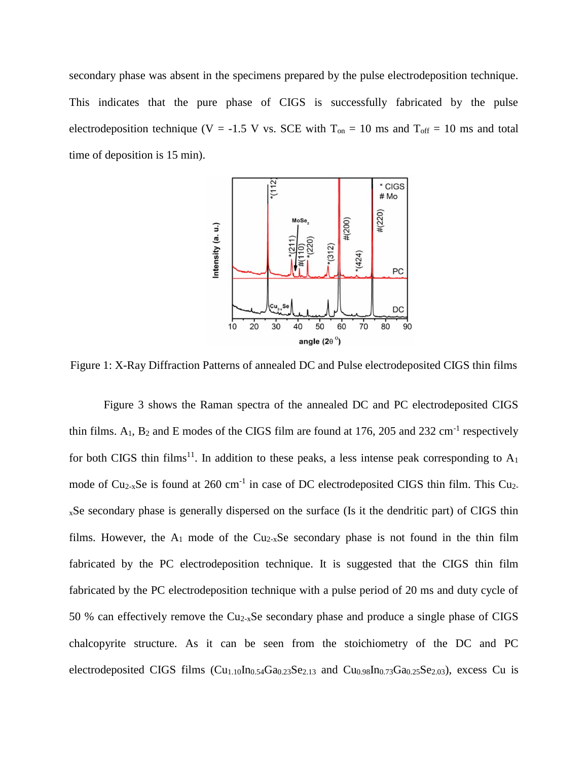secondary phase was absent in the specimens prepared by the pulse electrodeposition technique. This indicates that the pure phase of CIGS is successfully fabricated by the pulse electrodeposition technique (V = -1.5 V vs. SCE with  $T_{on} = 10$  ms and  $T_{off} = 10$  ms and total time of deposition is 15 min).



Figure 1: X-Ray Diffraction Patterns of annealed DC and Pulse electrodeposited CIGS thin films

Figure 3 shows the Raman spectra of the annealed DC and PC electrodeposited CIGS thin films.  $A_1$ ,  $B_2$  and E modes of the CIGS film are found at 176, 205 and 232 cm<sup>-1</sup> respectively for both CIGS thin films<sup>11</sup>. In addition to these peaks, a less intense peak corresponding to  $A_1$ mode of  $Cu_{2-x}Se$  is found at 260 cm<sup>-1</sup> in case of DC electrodeposited CIGS thin film. This Cu<sub>2</sub><sup>x</sup>Se secondary phase is generally dispersed on the surface (Is it the dendritic part) of CIGS thin films. However, the  $A_1$  mode of the Cu<sub>2-x</sub>Se secondary phase is not found in the thin film fabricated by the PC electrodeposition technique. It is suggested that the CIGS thin film fabricated by the PC electrodeposition technique with a pulse period of 20 ms and duty cycle of 50 % can effectively remove the Cu2-xSe secondary phase and produce a single phase of CIGS chalcopyrite structure. As it can be seen from the stoichiometry of the DC and PC electrodeposited CIGS films (Cu<sub>1.10</sub>In<sub>0.54</sub>Ga<sub>0.23</sub>Se<sub>2.13</sub> and Cu<sub>0.98</sub>In<sub>0.73</sub>Ga<sub>0.25</sub>Se<sub>2.03</sub>), excess Cu is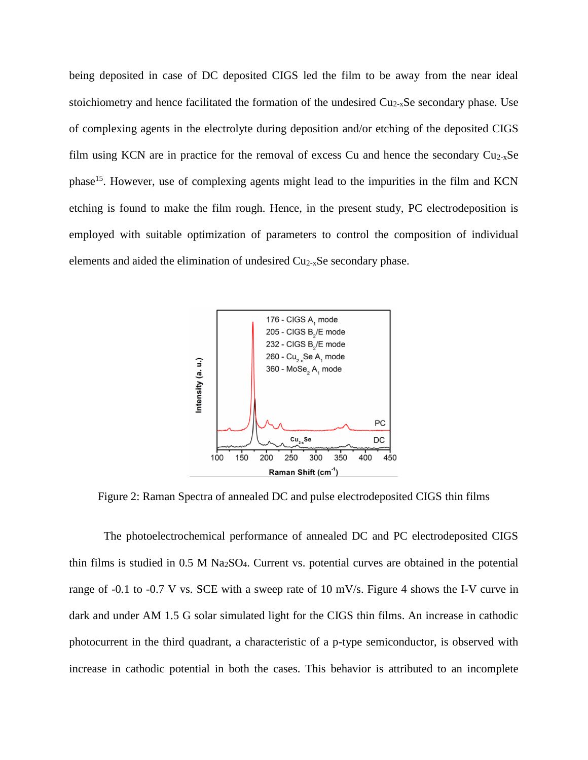being deposited in case of DC deposited CIGS led the film to be away from the near ideal stoichiometry and hence facilitated the formation of the undesired  $Cu<sub>2-x</sub>Se$  secondary phase. Use of complexing agents in the electrolyte during deposition and/or etching of the deposited CIGS film using KCN are in practice for the removal of excess Cu and hence the secondary  $Cu_{2-x}Se$ phase<sup>15</sup>. However, use of complexing agents might lead to the impurities in the film and KCN etching is found to make the film rough. Hence, in the present study, PC electrodeposition is employed with suitable optimization of parameters to control the composition of individual elements and aided the elimination of undesired Cu2-xSe secondary phase.



Figure 2: Raman Spectra of annealed DC and pulse electrodeposited CIGS thin films

The photoelectrochemical performance of annealed DC and PC electrodeposited CIGS thin films is studied in  $0.5 \text{ M}$  Na<sub>2</sub>SO<sub>4</sub>. Current vs. potential curves are obtained in the potential range of -0.1 to -0.7 V vs. SCE with a sweep rate of 10 mV/s. Figure 4 shows the I-V curve in dark and under AM 1.5 G solar simulated light for the CIGS thin films. An increase in cathodic photocurrent in the third quadrant, a characteristic of a p-type semiconductor, is observed with increase in cathodic potential in both the cases. This behavior is attributed to an incomplete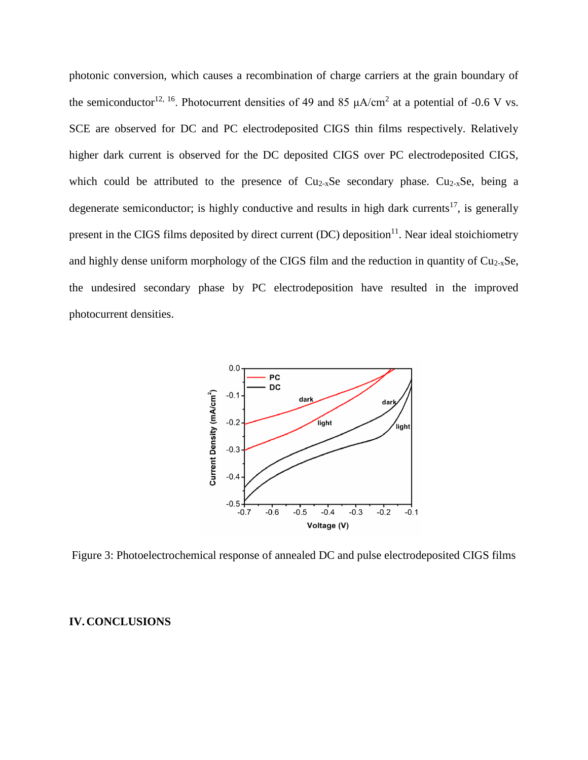photonic conversion, which causes a recombination of charge carriers at the grain boundary of the semiconductor<sup>12, 16</sup>. Photocurrent densities of 49 and 85  $\mu$ A/cm<sup>2</sup> at a potential of -0.6 V vs. SCE are observed for DC and PC electrodeposited CIGS thin films respectively. Relatively higher dark current is observed for the DC deposited CIGS over PC electrodeposited CIGS, which could be attributed to the presence of  $Cu<sub>2-x</sub>Se$  secondary phase.  $Cu<sub>2-x</sub>Se$ , being a degenerate semiconductor; is highly conductive and results in high dark currents<sup>17</sup>, is generally present in the CIGS films deposited by direct current  $(DC)$  deposition<sup>11</sup>. Near ideal stoichiometry and highly dense uniform morphology of the CIGS film and the reduction in quantity of  $Cu<sub>2-x</sub>Se$ , the undesired secondary phase by PC electrodeposition have resulted in the improved photocurrent densities.



Figure 3: Photoelectrochemical response of annealed DC and pulse electrodeposited CIGS films

#### **IV.CONCLUSIONS**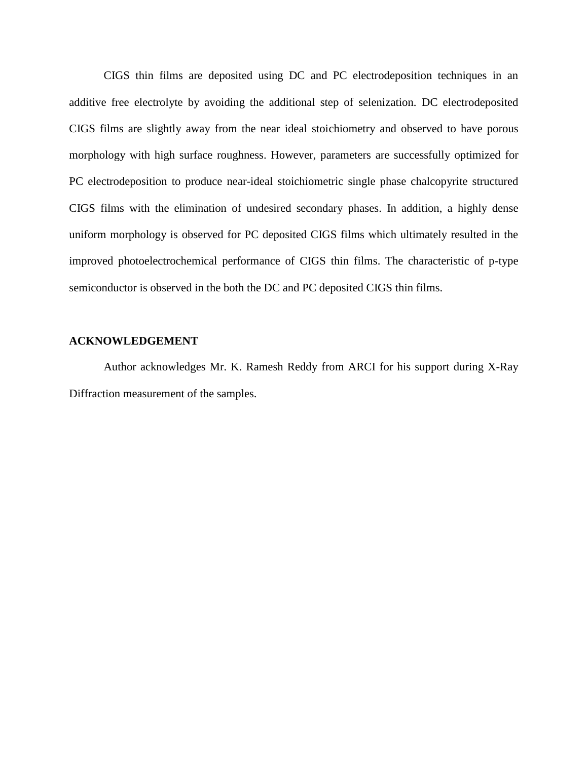CIGS thin films are deposited using DC and PC electrodeposition techniques in an additive free electrolyte by avoiding the additional step of selenization. DC electrodeposited CIGS films are slightly away from the near ideal stoichiometry and observed to have porous morphology with high surface roughness. However, parameters are successfully optimized for PC electrodeposition to produce near-ideal stoichiometric single phase chalcopyrite structured CIGS films with the elimination of undesired secondary phases. In addition, a highly dense uniform morphology is observed for PC deposited CIGS films which ultimately resulted in the improved photoelectrochemical performance of CIGS thin films. The characteristic of p-type semiconductor is observed in the both the DC and PC deposited CIGS thin films.

#### **ACKNOWLEDGEMENT**

Author acknowledges Mr. K. Ramesh Reddy from ARCI for his support during X-Ray Diffraction measurement of the samples.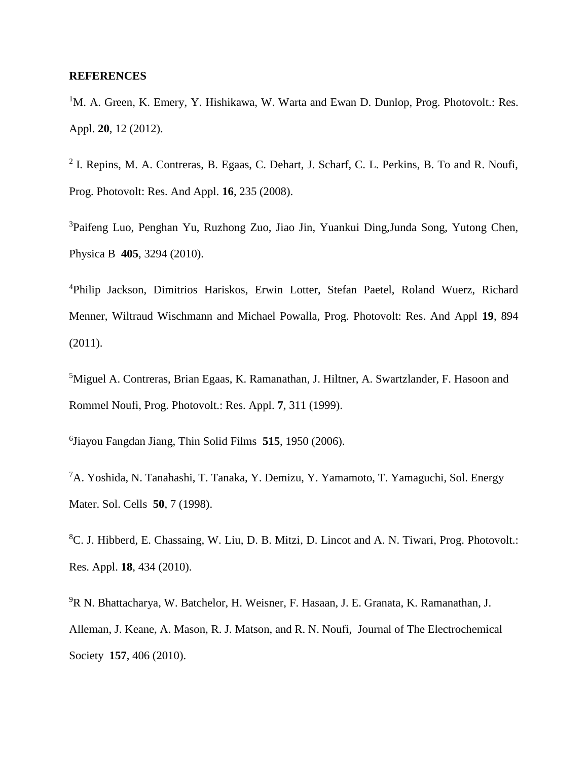#### **REFERENCES**

 ${}^{1}$ M. A. Green, K. Emery, Y. Hishikawa, W. Warta and Ewan D. Dunlop, Prog. Photovolt.: Res. Appl. **20**, 12 (2012).

<sup>2</sup> I. Repins, M. A. Contreras, B. Egaas, C. Dehart, J. Scharf, C. L. Perkins, B. To and R. Noufi, Prog. Photovolt: Res. And Appl. **16**, 235 (2008).

<sup>3</sup>Paifeng Luo, Penghan Yu, Ruzhong Zuo, Jiao Jin, Yuankui Ding,Junda Song, Yutong Chen, Physica B **405**, 3294 (2010).

<sup>4</sup>Philip Jackson, Dimitrios Hariskos, Erwin Lotter, Stefan Paetel, Roland Wuerz, Richard Menner, Wiltraud Wischmann and Michael Powalla, Prog. Photovolt: Res. And Appl **19**, 894 (2011).

<sup>5</sup>Miguel A. Contreras, Brian Egaas, K. Ramanathan, J. Hiltner, A. Swartzlander, F. Hasoon and Rommel Noufi, Prog. Photovolt.: Res. Appl. **7**, 311 (1999).

6 Jiayou Fangdan Jiang, Thin Solid Films **515**, 1950 (2006).

<sup>7</sup>A. Yoshida, N. Tanahashi, T. Tanaka, Y. Demizu, Y. Yamamoto, T. Yamaguchi, Sol. Energy Mater. Sol. Cells **50**, 7 (1998).

<sup>8</sup>C. J. Hibberd, E. Chassaing, W. Liu, D. B. Mitzi, D. Lincot and A. N. Tiwari, Prog. Photovolt.: Res. Appl. **18**, 434 (2010).

<sup>9</sup>R N. Bhattacharya, W. Batchelor, H. Weisner, F. Hasaan, J. E. Granata, K. Ramanathan, J. Alleman, J. Keane, A. Mason, R. J. Matson, and R. N. Noufi, Journal of The Electrochemical Society **157**, 406 (2010).